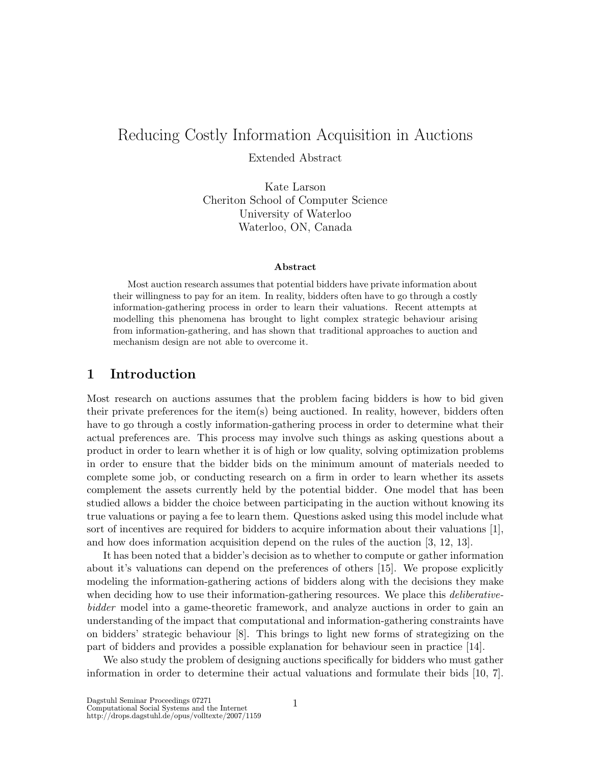# Reducing Costly Information Acquisition in Auctions Extended Abstract

Kate Larson Cheriton School of Computer Science University of Waterloo Waterloo, ON, Canada

#### Abstract

Most auction research assumes that potential bidders have private information about their willingness to pay for an item. In reality, bidders often have to go through a costly information-gathering process in order to learn their valuations. Recent attempts at modelling this phenomena has brought to light complex strategic behaviour arising from information-gathering, and has shown that traditional approaches to auction and mechanism design are not able to overcome it.

### 1 Introduction

Most research on auctions assumes that the problem facing bidders is how to bid given their private preferences for the item(s) being auctioned. In reality, however, bidders often have to go through a costly information-gathering process in order to determine what their actual preferences are. This process may involve such things as asking questions about a product in order to learn whether it is of high or low quality, solving optimization problems in order to ensure that the bidder bids on the minimum amount of materials needed to complete some job, or conducting research on a firm in order to learn whether its assets complement the assets currently held by the potential bidder. One model that has been studied allows a bidder the choice between participating in the auction without knowing its true valuations or paying a fee to learn them. Questions asked using this model include what sort of incentives are required for bidders to acquire information about their valuations [1], and how does information acquisition depend on the rules of the auction [3, 12, 13].

It has been noted that a bidder's decision as to whether to compute or gather information about it's valuations can depend on the preferences of others [15]. We propose explicitly modeling the information-gathering actions of bidders along with the decisions they make when deciding how to use their information-gathering resources. We place this *deliberative*bidder model into a game-theoretic framework, and analyze auctions in order to gain an understanding of the impact that computational and information-gathering constraints have on bidders' strategic behaviour [8]. This brings to light new forms of strategizing on the part of bidders and provides a possible explanation for behaviour seen in practice [14].

We also study the problem of designing auctions specifically for bidders who must gather information in order to determine their actual valuations and formulate their bids [10, 7].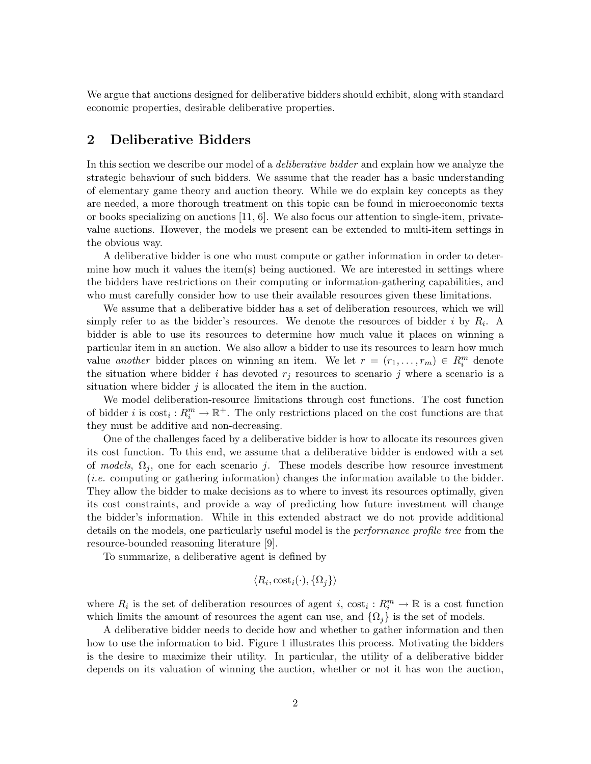We argue that auctions designed for deliberative bidders should exhibit, along with standard economic properties, desirable deliberative properties.

# 2 Deliberative Bidders

In this section we describe our model of a *deliberative bidder* and explain how we analyze the strategic behaviour of such bidders. We assume that the reader has a basic understanding of elementary game theory and auction theory. While we do explain key concepts as they are needed, a more thorough treatment on this topic can be found in microeconomic texts or books specializing on auctions [11, 6]. We also focus our attention to single-item, privatevalue auctions. However, the models we present can be extended to multi-item settings in the obvious way.

A deliberative bidder is one who must compute or gather information in order to determine how much it values the item(s) being auctioned. We are interested in settings where the bidders have restrictions on their computing or information-gathering capabilities, and who must carefully consider how to use their available resources given these limitations.

We assume that a deliberative bidder has a set of deliberation resources, which we will simply refer to as the bidder's resources. We denote the resources of bidder i by  $R_i$ . A bidder is able to use its resources to determine how much value it places on winning a particular item in an auction. We also allow a bidder to use its resources to learn how much value another bidder places on winning an item. We let  $r = (r_1, \ldots, r_m) \in R_i^m$  denote the situation where bidder i has devoted  $r_j$  resources to scenario j where a scenario is a situation where bidder  $j$  is allocated the item in the auction.

We model deliberation-resource limitations through cost functions. The cost function of bidder i is  $\text{cost}_i : R_i^m \to \mathbb{R}^+$ . The only restrictions placed on the cost functions are that they must be additive and non-decreasing.

One of the challenges faced by a deliberative bidder is how to allocate its resources given its cost function. To this end, we assume that a deliberative bidder is endowed with a set of models,  $\Omega_j$ , one for each scenario j. These models describe how resource investment (i.e. computing or gathering information) changes the information available to the bidder. They allow the bidder to make decisions as to where to invest its resources optimally, given its cost constraints, and provide a way of predicting how future investment will change the bidder's information. While in this extended abstract we do not provide additional details on the models, one particularly useful model is the *performance profile tree* from the resource-bounded reasoning literature [9].

To summarize, a deliberative agent is defined by

$$
\langle R_i, \text{cost}_i(\cdot), \{\Omega_j\}\rangle
$$

where  $R_i$  is the set of deliberation resources of agent i,  $\cos t_i : R_i^m \to \mathbb{R}$  is a cost function which limits the amount of resources the agent can use, and  $\{\Omega_i\}$  is the set of models.

A deliberative bidder needs to decide how and whether to gather information and then how to use the information to bid. Figure 1 illustrates this process. Motivating the bidders is the desire to maximize their utility. In particular, the utility of a deliberative bidder depends on its valuation of winning the auction, whether or not it has won the auction,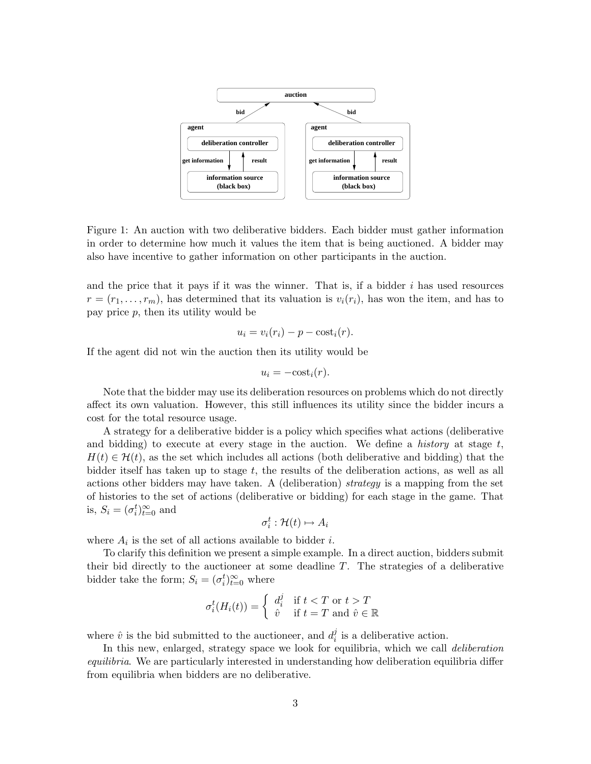

Figure 1: An auction with two deliberative bidders. Each bidder must gather information in order to determine how much it values the item that is being auctioned. A bidder may also have incentive to gather information on other participants in the auction.

and the price that it pays if it was the winner. That is, if a bidder  $i$  has used resources  $r = (r_1, \ldots, r_m)$ , has determined that its valuation is  $v_i(r_i)$ , has won the item, and has to pay price  $p$ , then its utility would be

$$
u_i = v_i(r_i) - p - \text{cost}_i(r).
$$

If the agent did not win the auction then its utility would be

$$
u_i = -\cos t_i(r).
$$

Note that the bidder may use its deliberation resources on problems which do not directly affect its own valuation. However, this still influences its utility since the bidder incurs a cost for the total resource usage.

A strategy for a deliberative bidder is a policy which specifies what actions (deliberative and bidding) to execute at every stage in the auction. We define a *history* at stage  $t$ ,  $H(t) \in \mathcal{H}(t)$ , as the set which includes all actions (both deliberative and bidding) that the bidder itself has taken up to stage  $t$ , the results of the deliberation actions, as well as all actions other bidders may have taken. A (deliberation) strategy is a mapping from the set of histories to the set of actions (deliberative or bidding) for each stage in the game. That is,  $S_i = (\sigma_i^t)_{t=0}^{\infty}$  and

$$
\sigma_i^t : \mathcal{H}(t) \mapsto A_i
$$

where  $A_i$  is the set of all actions available to bidder *i*.

To clarify this definition we present a simple example. In a direct auction, bidders submit their bid directly to the auctioneer at some deadline  $T$ . The strategies of a deliberative bidder take the form;  $S_i = (\sigma_i^t)_{t=0}^{\infty}$  where

$$
\sigma_i^t(H_i(t)) = \begin{cases} d_i^j & \text{if } t < T \text{ or } t > T \\ \hat{v} & \text{if } t = T \text{ and } \hat{v} \in \mathbb{R} \end{cases}
$$

where  $\hat{v}$  is the bid submitted to the auctioneer, and  $d_i^j$  $i$  is a deliberative action.

In this new, enlarged, strategy space we look for equilibria, which we call *deliberation* equilibria. We are particularly interested in understanding how deliberation equilibria differ from equilibria when bidders are no deliberative.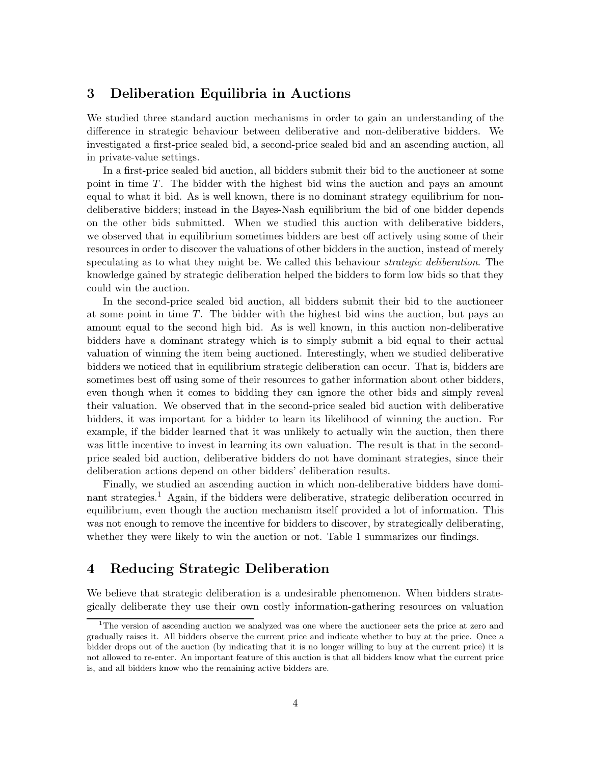## 3 Deliberation Equilibria in Auctions

We studied three standard auction mechanisms in order to gain an understanding of the difference in strategic behaviour between deliberative and non-deliberative bidders. We investigated a first-price sealed bid, a second-price sealed bid and an ascending auction, all in private-value settings.

In a first-price sealed bid auction, all bidders submit their bid to the auctioneer at some point in time T. The bidder with the highest bid wins the auction and pays an amount equal to what it bid. As is well known, there is no dominant strategy equilibrium for nondeliberative bidders; instead in the Bayes-Nash equilibrium the bid of one bidder depends on the other bids submitted. When we studied this auction with deliberative bidders, we observed that in equilibrium sometimes bidders are best off actively using some of their resources in order to discover the valuations of other bidders in the auction, instead of merely speculating as to what they might be. We called this behaviour *strategic deliberation*. The knowledge gained by strategic deliberation helped the bidders to form low bids so that they could win the auction.

In the second-price sealed bid auction, all bidders submit their bid to the auctioneer at some point in time T. The bidder with the highest bid wins the auction, but pays an amount equal to the second high bid. As is well known, in this auction non-deliberative bidders have a dominant strategy which is to simply submit a bid equal to their actual valuation of winning the item being auctioned. Interestingly, when we studied deliberative bidders we noticed that in equilibrium strategic deliberation can occur. That is, bidders are sometimes best off using some of their resources to gather information about other bidders, even though when it comes to bidding they can ignore the other bids and simply reveal their valuation. We observed that in the second-price sealed bid auction with deliberative bidders, it was important for a bidder to learn its likelihood of winning the auction. For example, if the bidder learned that it was unlikely to actually win the auction, then there was little incentive to invest in learning its own valuation. The result is that in the secondprice sealed bid auction, deliberative bidders do not have dominant strategies, since their deliberation actions depend on other bidders' deliberation results.

Finally, we studied an ascending auction in which non-deliberative bidders have dominant strategies.<sup>1</sup> Again, if the bidders were deliberative, strategic deliberation occurred in equilibrium, even though the auction mechanism itself provided a lot of information. This was not enough to remove the incentive for bidders to discover, by strategically deliberating, whether they were likely to win the auction or not. Table 1 summarizes our findings.

# 4 Reducing Strategic Deliberation

We believe that strategic deliberation is a undesirable phenomenon. When bidders strategically deliberate they use their own costly information-gathering resources on valuation

<sup>&</sup>lt;sup>1</sup>The version of ascending auction we analyzed was one where the auctioneer sets the price at zero and gradually raises it. All bidders observe the current price and indicate whether to buy at the price. Once a bidder drops out of the auction (by indicating that it is no longer willing to buy at the current price) it is not allowed to re-enter. An important feature of this auction is that all bidders know what the current price is, and all bidders know who the remaining active bidders are.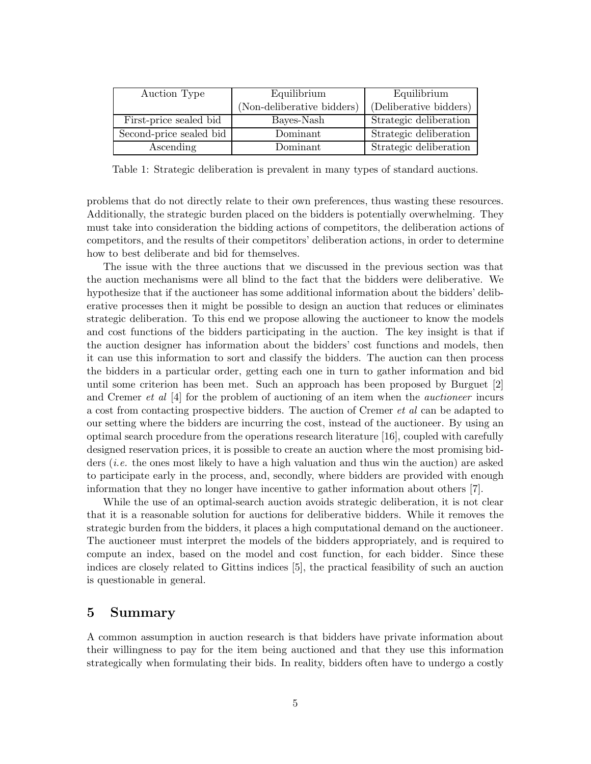| Auction Type            | Equilibrium                | Equilibrium            |
|-------------------------|----------------------------|------------------------|
|                         | (Non-deliberative bidders) | (Deliberative bidders) |
| First-price sealed bid  | Bayes-Nash                 | Strategic deliberation |
| Second-price sealed bid | Dominant                   | Strategic deliberation |
| Ascending               | Dominant                   | Strategic deliberation |

Table 1: Strategic deliberation is prevalent in many types of standard auctions.

problems that do not directly relate to their own preferences, thus wasting these resources. Additionally, the strategic burden placed on the bidders is potentially overwhelming. They must take into consideration the bidding actions of competitors, the deliberation actions of competitors, and the results of their competitors' deliberation actions, in order to determine how to best deliberate and bid for themselves.

The issue with the three auctions that we discussed in the previous section was that the auction mechanisms were all blind to the fact that the bidders were deliberative. We hypothesize that if the auctioneer has some additional information about the bidders' deliberative processes then it might be possible to design an auction that reduces or eliminates strategic deliberation. To this end we propose allowing the auctioneer to know the models and cost functions of the bidders participating in the auction. The key insight is that if the auction designer has information about the bidders' cost functions and models, then it can use this information to sort and classify the bidders. The auction can then process the bidders in a particular order, getting each one in turn to gather information and bid until some criterion has been met. Such an approach has been proposed by Burguet [2] and Cremer *et al*  $[4]$  for the problem of auctioning of an item when the *auctioneer* incurs a cost from contacting prospective bidders. The auction of Cremer et al can be adapted to our setting where the bidders are incurring the cost, instead of the auctioneer. By using an optimal search procedure from the operations research literature [16], coupled with carefully designed reservation prices, it is possible to create an auction where the most promising bidders (i.e. the ones most likely to have a high valuation and thus win the auction) are asked to participate early in the process, and, secondly, where bidders are provided with enough information that they no longer have incentive to gather information about others [7].

While the use of an optimal-search auction avoids strategic deliberation, it is not clear that it is a reasonable solution for auctions for deliberative bidders. While it removes the strategic burden from the bidders, it places a high computational demand on the auctioneer. The auctioneer must interpret the models of the bidders appropriately, and is required to compute an index, based on the model and cost function, for each bidder. Since these indices are closely related to Gittins indices [5], the practical feasibility of such an auction is questionable in general.

#### 5 Summary

A common assumption in auction research is that bidders have private information about their willingness to pay for the item being auctioned and that they use this information strategically when formulating their bids. In reality, bidders often have to undergo a costly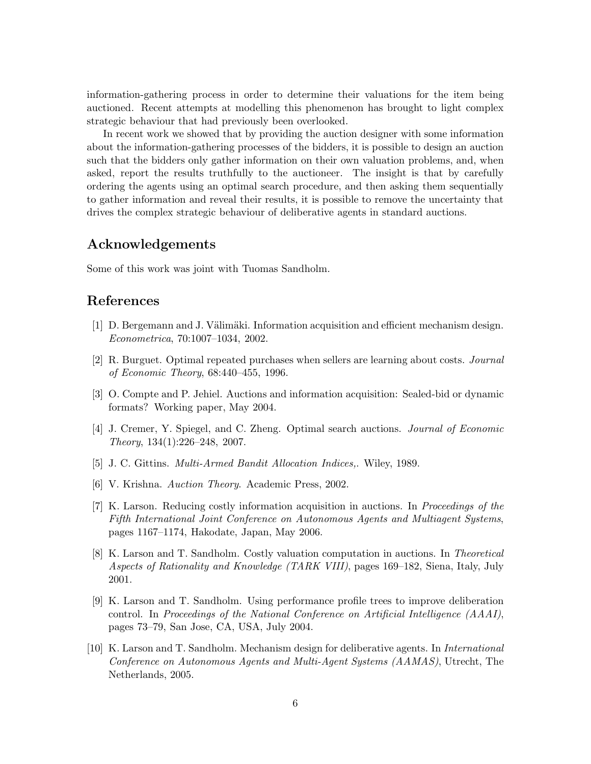information-gathering process in order to determine their valuations for the item being auctioned. Recent attempts at modelling this phenomenon has brought to light complex strategic behaviour that had previously been overlooked.

In recent work we showed that by providing the auction designer with some information about the information-gathering processes of the bidders, it is possible to design an auction such that the bidders only gather information on their own valuation problems, and, when asked, report the results truthfully to the auctioneer. The insight is that by carefully ordering the agents using an optimal search procedure, and then asking them sequentially to gather information and reveal their results, it is possible to remove the uncertainty that drives the complex strategic behaviour of deliberative agents in standard auctions.

#### Acknowledgements

Some of this work was joint with Tuomas Sandholm.

#### References

- [1] D. Bergemann and J. Välimäki. Information acquisition and efficient mechanism design. Econometrica, 70:1007–1034, 2002.
- [2] R. Burguet. Optimal repeated purchases when sellers are learning about costs. Journal of Economic Theory, 68:440–455, 1996.
- [3] O. Compte and P. Jehiel. Auctions and information acquisition: Sealed-bid or dynamic formats? Working paper, May 2004.
- [4] J. Cremer, Y. Spiegel, and C. Zheng. Optimal search auctions. Journal of Economic Theory, 134(1):226–248, 2007.
- [5] J. C. Gittins. Multi-Armed Bandit Allocation Indices,. Wiley, 1989.
- [6] V. Krishna. Auction Theory. Academic Press, 2002.
- [7] K. Larson. Reducing costly information acquisition in auctions. In Proceedings of the Fifth International Joint Conference on Autonomous Agents and Multiagent Systems, pages 1167–1174, Hakodate, Japan, May 2006.
- [8] K. Larson and T. Sandholm. Costly valuation computation in auctions. In Theoretical Aspects of Rationality and Knowledge (TARK VIII), pages 169–182, Siena, Italy, July 2001.
- [9] K. Larson and T. Sandholm. Using performance profile trees to improve deliberation control. In Proceedings of the National Conference on Artificial Intelligence (AAAI), pages 73–79, San Jose, CA, USA, July 2004.
- [10] K. Larson and T. Sandholm. Mechanism design for deliberative agents. In International Conference on Autonomous Agents and Multi-Agent Systems (AAMAS), Utrecht, The Netherlands, 2005.